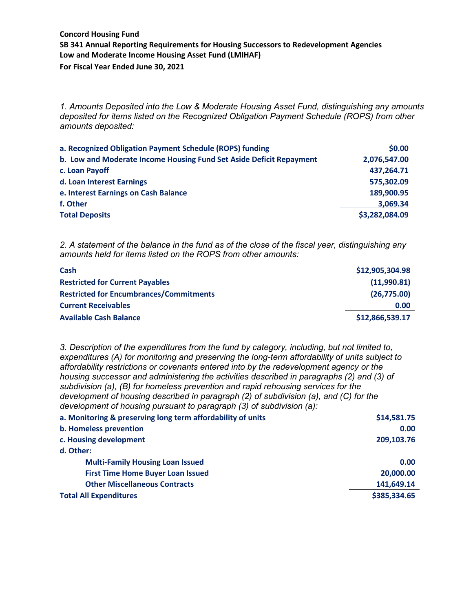*1. Amounts Deposited into the Low & Moderate Housing Asset Fund, distinguishing any amounts deposited for items listed on the Recognized Obligation Payment Schedule (ROPS) from other amounts deposited:*

| a. Recognized Obligation Payment Schedule (ROPS) funding            | \$0.00         |
|---------------------------------------------------------------------|----------------|
| b. Low and Moderate Income Housing Fund Set Aside Deficit Repayment | 2,076,547.00   |
| c. Loan Payoff                                                      | 437,264.71     |
| d. Loan Interest Earnings                                           | 575,302.09     |
| e. Interest Earnings on Cash Balance                                | 189,900.95     |
| f. Other                                                            | 3,069.34       |
| <b>Total Deposits</b>                                               | \$3,282,084.09 |

*2. A statement of the balance in the fund as of the close of the fiscal year, distinguishing any amounts held for items listed on the ROPS from other amounts:*

| Cash                                           | \$12,905,304.98 |
|------------------------------------------------|-----------------|
| <b>Restricted for Current Payables</b>         | (11,990.81)     |
| <b>Restricted for Encumbrances/Commitments</b> | (26,775.00)     |
| <b>Current Receivables</b>                     | 0.00            |
| <b>Available Cash Balance</b>                  | \$12,866,539.17 |

*3. Description of the expenditures from the fund by category, including, but not limited to, expenditures (A) for monitoring and preserving the long-term affordability of units subject to affordability restrictions or covenants entered into by the redevelopment agency or the housing successor and administering the activities described in paragraphs (2) and (3) of subdivision (a), (B) for homeless prevention and rapid rehousing services for the development of housing described in paragraph (2) of subdivision (a), and (C) for the development of housing pursuant to paragraph (3) of subdivision (a):* **a. Monitoring & preserving long term affordability of units \$14,581.75 b. Homeless prevention 0.00 c. Housing development 209,103.76** 

| d. Other:                                |              |
|------------------------------------------|--------------|
| <b>Multi-Family Housing Loan Issued</b>  | 0.00         |
| <b>First Time Home Buyer Loan Issued</b> | 20,000.00    |
| <b>Other Miscellaneous Contracts</b>     | 141,649.14   |
| <b>Total All Expenditures</b>            | \$385,334.65 |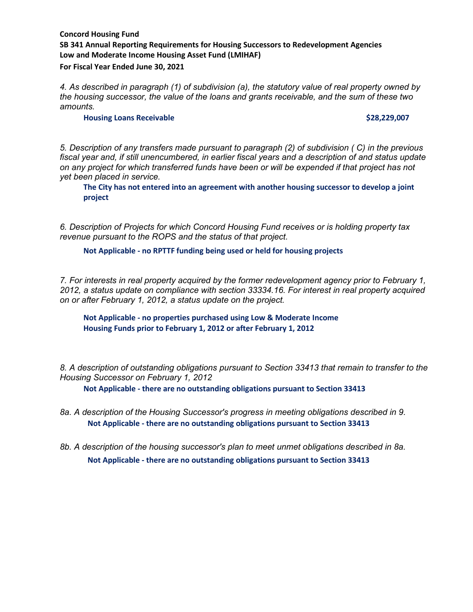*4. As described in paragraph (1) of subdivision (a), the statutory value of real property owned by the housing successor, the value of the loans and grants receivable, and the sum of these two amounts.*

#### **Housing Loans Receivable by a set of the set of the set of the set of the set of the set of the set of the set of the set of the set of the set of the set of the set of the set of the set of the set of the set of the se**

*5. Description of any transfers made pursuant to paragraph (2) of subdivision ( C) in the previous fiscal year and, if still unencumbered, in earlier fiscal years and a description of and status update on any project for which transferred funds have been or will be expended if that project has not yet been placed in service.*

**The City has not entered into an agreement with another housing successor to develop a joint project**

*6. Description of Projects for which Concord Housing Fund receives or is holding property tax revenue pursuant to the ROPS and the status of that project.*

### **Not Applicable - no RPTTF funding being used or held for housing projects**

*7. For interests in real property acquired by the former redevelopment agency prior to February 1, 2012, a status update on compliance with section 33334.16. For interest in real property acquired on or after February 1, 2012, a status update on the project.*

**Not Applicable - no properties purchased using Low & Moderate Income Housing Funds prior to February 1, 2012 or after February 1, 2012**

*8. A description of outstanding obligations pursuant to Section 33413 that remain to transfer to the Housing Successor on February 1, 2012*

**Not Applicable - there are no outstanding obligations pursuant to Section 33413**

- *8a. A description of the Housing Successor's progress in meeting obligations described in 9.* **Not Applicable - there are no outstanding obligations pursuant to Section 33413**
- *8b. A description of the housing successor's plan to meet unmet obligations described in 8a.* **Not Applicable - there are no outstanding obligations pursuant to Section 33413**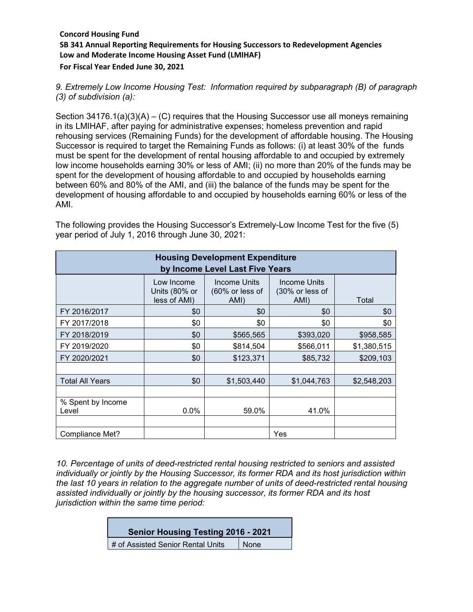*9. Extremely Low Income Housing Test: Information required by subparagraph (B) of paragraph (3) of subdivision (a):*

Section  $34176.1(a)(3)(A) - (C)$  requires that the Housing Successor use all moneys remaining in its LMIHAF, after paying for administrative expenses; homeless prevention and rapid rehousing services (Remaining Funds) for the development of affordable housing. The Housing Successor is required to target the Remaining Funds as follows: (i) at least 30% of the funds must be spent for the development of rental housing affordable to and occupied by extremely low income households earning 30% or less of AMI; (ii) no more than 20% of the funds may be spent for the development of housing affordable to and occupied by households earning between 60% and 80% of the AMI, and (iii) the balance of the funds may be spent for the development of housing affordable to and occupied by households earning 60% or less of the AMI.

| <b>Housing Development Expenditure</b><br>by Income Level Last Five Years |                                             |                                                     |                                         |             |  |
|---------------------------------------------------------------------------|---------------------------------------------|-----------------------------------------------------|-----------------------------------------|-------------|--|
|                                                                           | Low Income<br>Units (80% or<br>less of AMI) | Income Units<br>$(60\% \text{ or less of})$<br>AMI) | Income Units<br>(30% or less of<br>AMI) | Total       |  |
| FY 2016/2017                                                              | \$0                                         | \$0                                                 | \$0                                     | \$0         |  |
| FY 2017/2018                                                              | \$0                                         | \$0                                                 | \$0                                     | \$0         |  |
| FY 2018/2019                                                              | \$0                                         | \$565,565                                           | \$393,020                               | \$958,585   |  |
| FY 2019/2020                                                              | \$0                                         | \$814,504                                           | \$566,011                               | \$1,380,515 |  |
| FY 2020/2021                                                              | \$0                                         | \$123,371                                           | \$85,732                                | \$209,103   |  |
|                                                                           |                                             |                                                     |                                         |             |  |
| <b>Total All Years</b>                                                    | \$0                                         | \$1,503,440                                         | \$1,044,763                             | \$2,548,203 |  |
|                                                                           |                                             |                                                     |                                         |             |  |
| % Spent by Income<br>Level                                                | 0.0%                                        | 59.0%                                               | 41.0%                                   |             |  |
| Compliance Met?                                                           |                                             |                                                     | Yes                                     |             |  |

The following provides the Housing Successor's Extremely-Low Income Test for the five (5) year period of July 1, 2016 through June 30, 2021:

*10. Percentage of units of deed-restricted rental housing restricted to seniors and assisted individually or jointly by the Housing Successor, its former RDA and its host jurisdiction within the last 10 years in relation to the aggregate number of units of deed-restricted rental housing assisted individually or jointly by the housing successor, its former RDA and its host jurisdiction within the same time period:*

| Senior Housing Testing 2016 - 2021 |      |
|------------------------------------|------|
| # of Assisted Senior Rental Units  | None |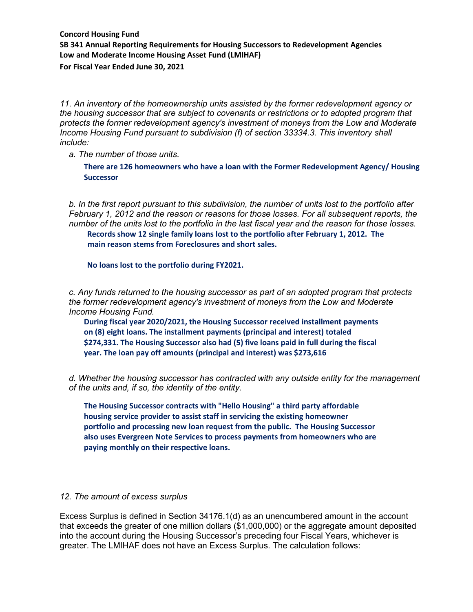*11. An inventory of the homeownership units assisted by the former redevelopment agency or the housing successor that are subject to covenants or restrictions or to adopted program that protects the former redevelopment agency's investment of moneys from the Low and Moderate Income Housing Fund pursuant to subdivision (f) of section 33334.3. This inventory shall include:*

*a. The number of those units.* 

**There are 126 homeowners who have a loan with the Former Redevelopment Agency/ Housing Successor**

*b. In the first report pursuant to this subdivision, the number of units lost to the portfolio after February 1, 2012 and the reason or reasons for those losses. For all subsequent reports, the number of the units lost to the portfolio in the last fiscal year and the reason for those losses.*  **Records show 12 single family loans lost to the portfolio after February 1, 2012. The main reason stems from Foreclosures and short sales.**

**No loans lost to the portfolio during FY2021.**

*c. Any funds returned to the housing successor as part of an adopted program that protects the former redevelopment agency's investment of moneys from the Low and Moderate Income Housing Fund.* 

**During fiscal year 2020/2021, the Housing Successor received installment payments on (8) eight loans. The installment payments (principal and interest) totaled \$274,331. The Housing Successor also had (5) five loans paid in full during the fiscal year. The loan pay off amounts (principal and interest) was \$273,616**

*d. Whether the housing successor has contracted with any outside entity for the management of the units and, if so, the identity of the entity.*

**The Housing Successor contracts with "Hello Housing" a third party affordable housing service provider to assist staff in servicing the existing homeowner portfolio and processing new loan request from the public. The Housing Successor also uses Evergreen Note Services to process payments from homeowners who are paying monthly on their respective loans.** 

### *12. The amount of excess surplus*

Excess Surplus is defined in Section 34176.1(d) as an unencumbered amount in the account that exceeds the greater of one million dollars (\$1,000,000) or the aggregate amount deposited into the account during the Housing Successor's preceding four Fiscal Years, whichever is greater. The LMIHAF does not have an Excess Surplus. The calculation follows: